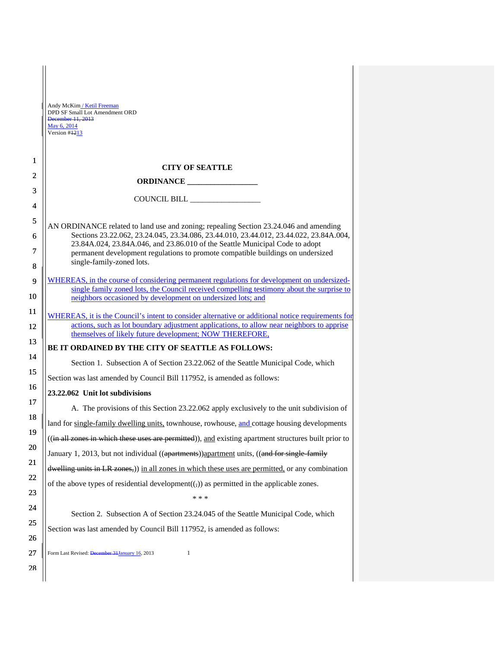|                | Andy McKim / Ketil Freeman<br>DPD SF Small Lot Amendment ORD<br>December 11, 2013<br>May 6, 2014<br>Version #1213                                                                                                                                         |
|----------------|-----------------------------------------------------------------------------------------------------------------------------------------------------------------------------------------------------------------------------------------------------------|
| $\mathbf{1}$   | <b>CITY OF SEATTLE</b>                                                                                                                                                                                                                                    |
| $\overline{2}$ |                                                                                                                                                                                                                                                           |
| 3              |                                                                                                                                                                                                                                                           |
| $\overline{4}$ |                                                                                                                                                                                                                                                           |
| 5<br>6         | AN ORDINANCE related to land use and zoning; repealing Section 23.24.046 and amending<br>Sections 23.22.062, 23.24.045, 23.34.086, 23.44.010, 23.44.012, 23.44.022, 23.84A.004,                                                                           |
| 7<br>8         | 23.84A.024, 23.84A.046, and 23.86.010 of the Seattle Municipal Code to adopt<br>permanent development regulations to promote compatible buildings on undersized<br>single-family-zoned lots.                                                              |
| 9              | WHEREAS, in the course of considering permanent regulations for development on undersized-                                                                                                                                                                |
| 10             | single family zoned lots, the Council received compelling testimony about the surprise to<br>neighbors occasioned by development on undersized lots; and                                                                                                  |
| 11<br>12       | WHEREAS, it is the Council's intent to consider alternative or additional notice requirements for<br>actions, such as lot boundary adjustment applications, to allow near neighbors to apprise<br>themselves of likely future development; NOW THEREFORE, |
| 13             | BE IT ORDAINED BY THE CITY OF SEATTLE AS FOLLOWS:                                                                                                                                                                                                         |
| 14             | Section 1. Subsection A of Section 23.22.062 of the Seattle Municipal Code, which                                                                                                                                                                         |
| 15             | Section was last amended by Council Bill 117952, is amended as follows:                                                                                                                                                                                   |
| 16             | 23.22.062 Unit lot subdivisions                                                                                                                                                                                                                           |
| 17             | A. The provisions of this Section 23.22.062 apply exclusively to the unit subdivision of                                                                                                                                                                  |
| 18             | land for single-family dwelling units, townhouse, rowhouse, and cottage housing developments                                                                                                                                                              |
| 19             | ((in all zones in which these uses are permitted)), and existing apartment structures built prior to                                                                                                                                                      |
| 20             | January 1, 2013, but not individual ((apartments)) apartment units, ((and for single family                                                                                                                                                               |
| 21             | dwelling units in LR zones,)) in all zones in which these uses are permitted, or any combination                                                                                                                                                          |
| 22             | of the above types of residential development $((,))$ as permitted in the applicable zones.                                                                                                                                                               |
| 23             | * * *                                                                                                                                                                                                                                                     |
| 24             | Section 2. Subsection A of Section 23.24.045 of the Seattle Municipal Code, which                                                                                                                                                                         |
| 25<br>26       | Section was last amended by Council Bill 117952, is amended as follows:                                                                                                                                                                                   |
| 27             | Form Last Revised: December 31 January 16, 2013<br>$\mathbf{1}$                                                                                                                                                                                           |
| 28             |                                                                                                                                                                                                                                                           |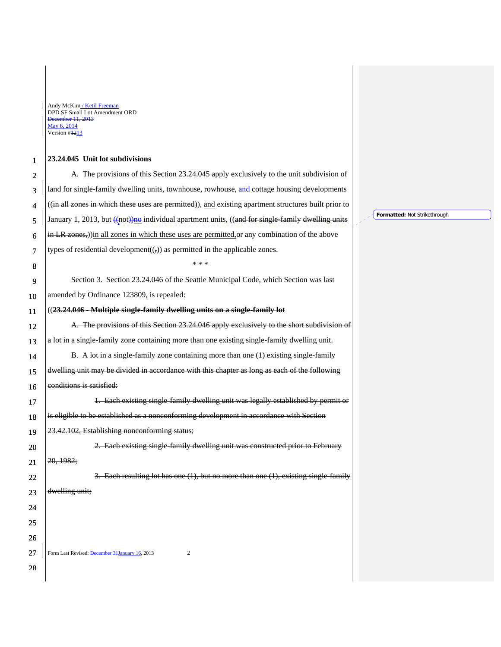П

## 1 **23.24.045 Unit lot subdivisions**

| $\overline{c}$ | A. The provisions of this Section 23.24.045 apply exclusively to the unit subdivision of             |
|----------------|------------------------------------------------------------------------------------------------------|
| 3              | land for single-family dwelling units, townhouse, rowhouse, and cottage housing developments         |
| 4              | ((in all zones in which these uses are permitted)), and existing apartment structures built prior to |
| 5              | January 1, 2013, but ((not))no individual apartment units, ((and for single family dwelling units    |
| 6              | in LR zones,))in all zones in which these uses are permitted or any combination of the above         |
| 7              | types of residential development $((,))$ as permitted in the applicable zones.                       |
| 8              | * * *                                                                                                |
| 9              | Section 3. Section 23.24.046 of the Seattle Municipal Code, which Section was last                   |
| 10             | amended by Ordinance 123809, is repealed:                                                            |
| 11             | ((23.24.046 - Multiple single-family dwelling units on a single-family lot                           |
| 12             | A. The provisions of this Section 23.24.046 apply exclusively to the short subdivision of            |
| 13             | a lot in a single family zone containing more than one existing single family dwelling unit.         |
| 14             | B. A lot in a single family zone containing more than one (1) existing single family                 |
| 15             | dwelling unit may be divided in accordance with this chapter as long as each of the following        |
| 16             | conditions is satisfied:                                                                             |
| 17             | 1. Each existing single-family dwelling unit was legally established by permit or                    |
| 18             | is eligible to be established as a nonconforming development in accordance with Section              |
| 19             | 23.42.102, Establishing nonconforming status;                                                        |
| 20             | 2. Each existing single family dwelling unit was constructed prior to February                       |
| 21             | 20, 1982;                                                                                            |
| 22             | 3. Each resulting lot has one $(1)$ , but no more than one $(1)$ , existing single family            |
| 23             | dwelling unit;                                                                                       |
| 24             |                                                                                                      |
| 25             |                                                                                                      |
| 26             |                                                                                                      |
| 27             | Form Last Revised: December 31 January 16, 2013<br>$\boldsymbol{2}$                                  |
| 28             |                                                                                                      |
|                |                                                                                                      |

**Formatted:** Not Strikethrough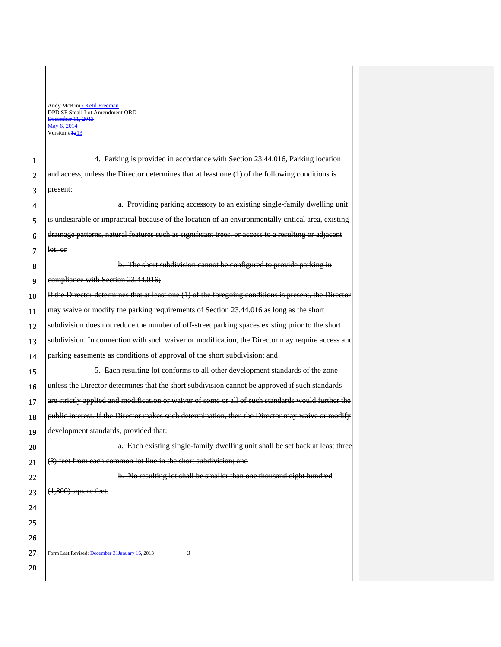Ī

| 1  | 4. Parking is provided in accordance with Section 23.44.016, Parking location                         |
|----|-------------------------------------------------------------------------------------------------------|
| 2  | and access, unless the Director determines that at least one (1) of the following conditions is       |
| 3  | present:                                                                                              |
| 4  | a. Providing parking accessory to an existing single family dwelling unit                             |
| 5  | is undesirable or impractical because of the location of an environmentally critical area, existing   |
| 6  | drainage patterns, natural features such as significant trees, or access to a resulting or adjacent   |
| 7  | let; or                                                                                               |
| 8  | b. The short subdivision cannot be configured to provide parking in                                   |
| 9  | compliance with Section 23.44.016;                                                                    |
| 10 | If the Director determines that at least one (1) of the foregoing conditions is present, the Director |
| 11 | may waive or modify the parking requirements of Section 23.44.016 as long as the short                |
| 12 | subdivision does not reduce the number of off street parking spaces existing prior to the short       |
| 13 | subdivision. In connection with such waiver or modification, the Director may require access and      |
| 14 | parking easements as conditions of approval of the short subdivision; and                             |
| 15 | 5. Each resulting lot conforms to all other development standards of the zone                         |
| 16 | unless the Director determines that the short subdivision cannot be approved if such standards        |
| 17 | are strictly applied and modification or waiver of some or all of such standards would further the    |
| 18 | public interest. If the Director makes such determination, then the Director may waive or modify      |
| 19 | development standards, provided that:                                                                 |
| 20 | a. Each existing single family dwelling unit shall be set back at least three                         |
| 21 | (3) feet from each common lot line in the short subdivision; and                                      |
| 22 | b. No resulting lot shall be smaller than one thousand eight hundred                                  |
| 23 | $(1,800)$ square feet.                                                                                |
| 24 |                                                                                                       |
| 25 |                                                                                                       |
| 26 |                                                                                                       |
| 27 | Form Last Revised: December 31 January 16, 2013<br>3                                                  |
| 28 |                                                                                                       |
|    |                                                                                                       |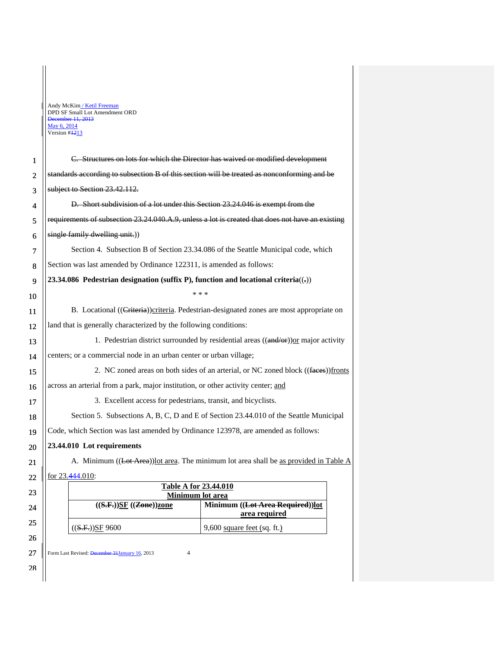| DPD SF Small Lot Amendment ORD |
|--------------------------------|
|                                |
|                                |
|                                |
|                                |

Ī

| 1              | C. Structures on lots for which the Director has waived or modified development                       |  |
|----------------|-------------------------------------------------------------------------------------------------------|--|
| $\overline{2}$ | standards according to subsection B of this section will be treated as nonconforming and be           |  |
| 3              | subject to Section 23.42.112.                                                                         |  |
| 4              | D. Short subdivision of a lot under this Section 23.24.046 is exempt from the                         |  |
| 5              | requirements of subsection 23.24.040.A.9, unless a lot is created that does not have an existing      |  |
| 6              | single family dwelling unit.))                                                                        |  |
| 7              | Section 4. Subsection B of Section 23.34.086 of the Seattle Municipal code, which                     |  |
| 8              | Section was last amended by Ordinance 122311, is amended as follows:                                  |  |
| 9              | 23.34.086 Pedestrian designation (suffix P), function and locational criteria( $\left(\cdot\right)$ ) |  |
| 10             | * * *                                                                                                 |  |
| 11             | B. Locational ((Criteria)) criteria. Pedestrian-designated zones are most appropriate on              |  |
| 12             | land that is generally characterized by the following conditions:                                     |  |
| 13             | 1. Pedestrian district surrounded by residential areas ((and/or)) or major activity                   |  |
| 14             | centers; or a commercial node in an urban center or urban village;                                    |  |
| 15             | 2. NC zoned areas on both sides of an arterial, or NC zoned block ((faces))fronts                     |  |
| 16             | across an arterial from a park, major institution, or other activity center; and                      |  |
| 17             | 3. Excellent access for pedestrians, transit, and bicyclists.                                         |  |
| 18             | Section 5. Subsections A, B, C, D and E of Section 23.44.010 of the Seattle Municipal                 |  |
| 19             | Code, which Section was last amended by Ordinance 123978, are amended as follows:                     |  |
| 20             | 23.44.010 Lot requirements                                                                            |  |
| 21             | A. Minimum ((Lot Area)) lot area. The minimum lot area shall be as provided in Table A                |  |
| 22             | for 23.444.010:                                                                                       |  |
| 23             | <b>Table A for 23.44.010</b><br>Minimum lot area                                                      |  |
| 24             | Minimum ((Lot Area Required))lot<br>$((S.F.))\underline{SF}((Zone))zone$<br>area required             |  |
| 25             | $((S.F.))SF$ 9600<br>9,600 square feet (sq. ft.)                                                      |  |
| 26             |                                                                                                       |  |

 $27$  || Form Last Revised: <del>December 31 January 16</del>, 2013 4

28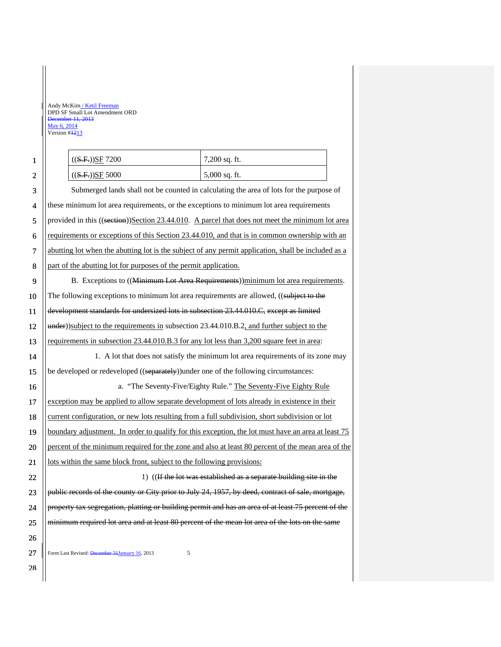1 2

| ((S.F.))SF 7200   | $7,200$ sq. ft. |
|-------------------|-----------------|
| $((S.F.))SE$ 5000 | $5,000$ sq. ft. |

3 4 5 6 7 8 9 10 11 12 13 14 15 16 17 18 19 20 21 22 23 24 25 26 Submerged lands shall not be counted in calculating the area of lots for the purpose of these minimum lot area requirements, or the exceptions to minimum lot area requirements provided in this ((section))Section 23.44.010. A parcel that does not meet the minimum lot area requirements or exceptions of this Section 23.44.010, and that is in common ownership with an abutting lot when the abutting lot is the subject of any permit application, shall be included as a part of the abutting lot for purposes of the permit application. B. Exceptions to ((Minimum Lot Area Requirements))minimum lot area requirements. The following exceptions to minimum lot area requirements are allowed, ((subject to the development standards for undersized lots in subsection 23.44.010.C, except as limited under))subject to the requirements in subsection 23.44.010.B.2, and further subject to the requirements in subsection 23.44.010.B.3 for any lot less than 3,200 square feet in area: 1. A lot that does not satisfy the minimum lot area requirements of its zone may be developed or redeveloped ((separately))under one of the following circumstances: a. "The Seventy-Five/Eighty Rule." The Seventy-Five Eighty Rule exception may be applied to allow separate development of lots already in existence in their current configuration, or new lots resulting from a full subdivision, short subdivision or lot boundary adjustment. In order to qualify for this exception, the lot must have an area at least 75 percent of the minimum required for the zone and also at least 80 percent of the mean area of the lots within the same block front, subject to the following provisions: 1) ((If the lot was established as a separate building site in the public records of the county or City prior to July 24, 1957, by deed, contract of sale, mortgage, property tax segregation, platting or building permit and has an area of at least 75 percent of the minimum required lot area and at least 80 percent of the mean lot area of the lots on the same

Form Last Revised: December 31 January 16, 2013 27

28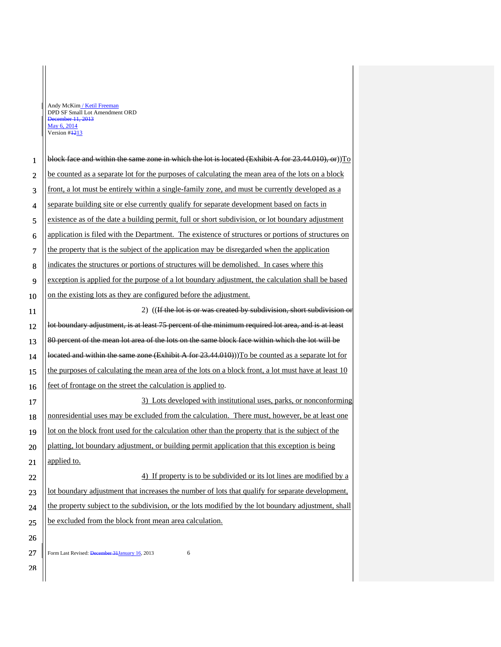П

| $\mathbf{1}$ | block face and within the same zone in which the lot is located (Exhibit A for $23.44.010$ ), or)) $T_0$ |
|--------------|----------------------------------------------------------------------------------------------------------|
| 2            | be counted as a separate lot for the purposes of calculating the mean area of the lots on a block        |
| 3            | front, a lot must be entirely within a single-family zone, and must be currently developed as a          |
| 4            | separate building site or else currently qualify for separate development based on facts in              |
| 5            | existence as of the date a building permit, full or short subdivision, or lot boundary adjustment        |
| 6            | application is filed with the Department. The existence of structures or portions of structures on       |
| 7            | the property that is the subject of the application may be disregarded when the application              |
| 8            | indicates the structures or portions of structures will be demolished. In cases where this               |
| 9            | exception is applied for the purpose of a lot boundary adjustment, the calculation shall be based        |
| 10           | on the existing lots as they are configured before the adjustment.                                       |
| 11           | 2) ((If the lot is or was created by subdivision, short subdivision or                                   |
| 12           | lot boundary adjustment, is at least 75 percent of the minimum required lot area, and is at least        |
| 13           | 80 percent of the mean lot area of the lots on the same block face within which the lot will be          |
| 14           | located and within the same zone (Exhibit A for $23.44.010$ ))) To be counted as a separate lot for      |
| 15           | the purposes of calculating the mean area of the lots on a block front, a lot must have at least 10      |
| 16           | feet of frontage on the street the calculation is applied to.                                            |
| 17           | 3) Lots developed with institutional uses, parks, or nonconforming                                       |
| 18           | nonresidential uses may be excluded from the calculation. There must, however, be at least one           |
| 19           | lot on the block front used for the calculation other than the property that is the subject of the       |
| 20           | platting, lot boundary adjustment, or building permit application that this exception is being           |
| 21           | applied to.                                                                                              |
| 22           | 4) If property is to be subdivided or its lot lines are modified by a                                    |
| 23           | lot boundary adjustment that increases the number of lots that qualify for separate development,         |
| 24           | the property subject to the subdivision, or the lots modified by the lot boundary adjustment, shall      |
| 25           | be excluded from the block front mean area calculation.                                                  |
| 26           |                                                                                                          |
| 27           | 6<br>Form Last Revised: December 31 January 16, 2013                                                     |
| 28           |                                                                                                          |
|              |                                                                                                          |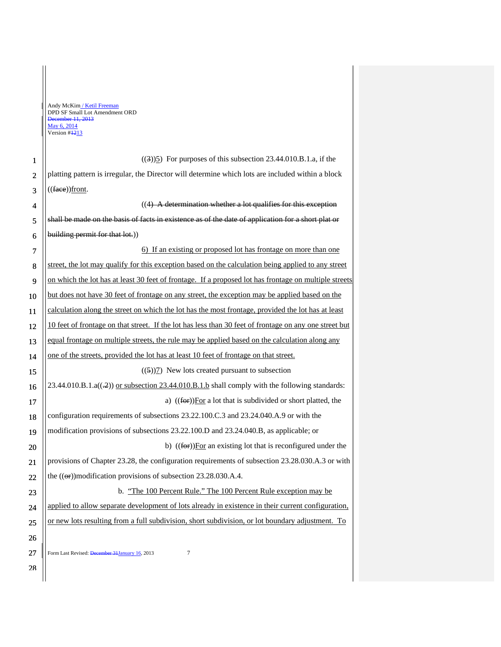Form Last Revised: December 31 January 16, 2013 1 2 3 4 5 6 7 8 9 10 11 12 13 14 15 16 17 18 19 20 21 22 23 24 25 26 27 28  $((3))$ 5) For purposes of this subsection 23.44.010.B.1.a, if the platting pattern is irregular, the Director will determine which lots are included within a block  $((\text{face})$ front.  $((4)$  A determination whether a lot qualifies for this exception shall be made on the basis of facts in existence as of the date of application for a short plat or building permit for that lot.) 6) If an existing or proposed lot has frontage on more than one street, the lot may qualify for this exception based on the calculation being applied to any street on which the lot has at least 30 feet of frontage. If a proposed lot has frontage on multiple streets but does not have 30 feet of frontage on any street, the exception may be applied based on the calculation along the street on which the lot has the most frontage, provided the lot has at least 10 feet of frontage on that street. If the lot has less than 30 feet of frontage on any one street but equal frontage on multiple streets, the rule may be applied based on the calculation along any one of the streets, provided the lot has at least 10 feet of frontage on that street.  $((5))$ 7) New lots created pursuant to subsection 23.44.010.B.1.a( $\left(\frac{.2}{.2}\right)$ ) or subsection 23.44.010.B.1.b shall comply with the following standards: a)  $((**for**))For a lot that is subdivided or short plated, the$ configuration requirements of subsections 23.22.100.C.3 and 23.24.040.A.9 or with the modification provisions of subsections 23.22.100.D and 23.24.040.B, as applicable; or b) ((for))For an existing lot that is reconfigured under the provisions of Chapter 23.28, the configuration requirements of subsection 23.28.030.A.3 or with the  $((\Theta$ )modification provisions of subsection 23.28.030.A.4. b. "The 100 Percent Rule." The 100 Percent Rule exception may be applied to allow separate development of lots already in existence in their current configuration, or new lots resulting from a full subdivision, short subdivision, or lot boundary adjustment. To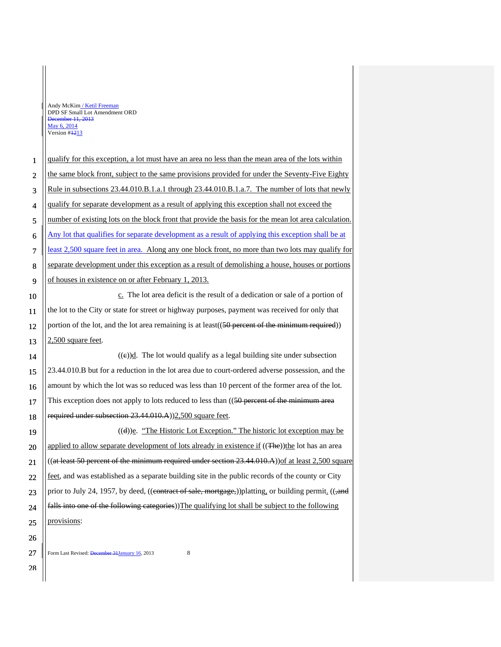Ť

28

 $\parallel$ 

| $\mathbf{1}$   | qualify for this exception, a lot must have an area no less than the mean area of the lots within     |
|----------------|-------------------------------------------------------------------------------------------------------|
| $\overline{2}$ | the same block front, subject to the same provisions provided for under the Seventy-Five Eighty       |
| 3              | Rule in subsections 23.44.010.B.1.a.1 through 23.44.010.B.1.a.7. The number of lots that newly        |
| 4              | qualify for separate development as a result of applying this exception shall not exceed the          |
| 5              | number of existing lots on the block front that provide the basis for the mean lot area calculation.  |
| 6              | Any lot that qualifies for separate development as a result of applying this exception shall be at    |
| $\overline{7}$ | least 2,500 square feet in area. Along any one block front, no more than two lots may qualify for     |
| 8              | separate development under this exception as a result of demolishing a house, houses or portions      |
| 9              | of houses in existence on or after February 1, 2013.                                                  |
| 10             | c. The lot area deficit is the result of a dedication or sale of a portion of                         |
| 11             | the lot to the City or state for street or highway purposes, payment was received for only that       |
| 12             | portion of the lot, and the lot area remaining is at least((50 percent of the minimum required))      |
| 13             | 2,500 square feet.                                                                                    |
| 14             | $((e))$ <u>d</u> . The lot would qualify as a legal building site under subsection                    |
| 15             | 23.44.010.B but for a reduction in the lot area due to court-ordered adverse possession, and the      |
| 16             | amount by which the lot was so reduced was less than 10 percent of the former area of the lot.        |
| 17             | This exception does not apply to lots reduced to less than ((50 percent of the minimum area           |
| 18             | required under subsection 23.44.010.A))2.500 square feet.                                             |
| 19             | $((d))$ <u>e</u> . "The Historic Lot Exception." The historic lot exception may be                    |
| 20             | applied to allow separate development of lots already in existence if ((The))the lot has an area      |
| 21             | $((at least 50) percent of the minimum required under section 23.44.010.A))$ of at least 2,500 square |
| 22             | feet, and was established as a separate building site in the public records of the county or City     |
| 23             | prior to July 24, 1957, by deed, ((contract of sale, mortgage,))platting, or building permit. ((,and  |
| 24             | falls into one of the following categories)) The qualifying lot shall be subject to the following     |
| 25             | provisions:                                                                                           |
| 26             |                                                                                                       |
| $27\,$         | 8<br>Form Last Revised: December 31 January 16, 2013                                                  |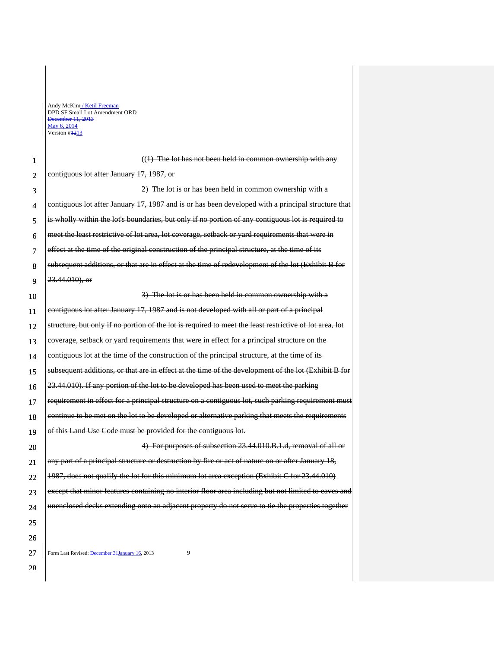П

| 1                       | $((1)$ The lot has not been held in common ownership with any                                           |
|-------------------------|---------------------------------------------------------------------------------------------------------|
| $\mathfrak{2}$          | contiguous lot after January 17, 1987, or                                                               |
| 3                       | 2) The lot is or has been held in common ownership with a                                               |
| $\overline{\mathbf{4}}$ | contiguous lot after January 17, 1987 and is or has been developed with a principal structure that      |
| 5                       | is wholly within the lot's boundaries, but only if no portion of any contiguous lot is required to      |
| 6                       | meet the least restrictive of lot area, lot coverage, setback or yard requirements that were in         |
| 7                       | effect at the time of the original construction of the principal structure, at the time of its          |
| 8                       | subsequent additions, or that are in effect at the time of redevelopment of the lot (Exhibit B for      |
| 9                       | 23.44.010), or                                                                                          |
| 10                      | 3) The lot is or has been held in common ownership with a                                               |
| 11                      | contiguous lot after January 17, 1987 and is not developed with all or part of a principal              |
| 12                      | structure, but only if no portion of the lot is required to meet the least restrictive of lot area, lot |
| 13                      | coverage, setback or yard requirements that were in effect for a principal structure on the             |
| 14                      | contiguous lot at the time of the construction of the principal structure, at the time of its           |
| 15                      | subsequent additions, or that are in effect at the time of the development of the lot (Exhibit B for    |
| 16                      | 23.44.010). If any portion of the lot to be developed has been used to meet the parking                 |
| 17                      | requirement in effect for a principal structure on a contiguous lot, such parking requirement must      |
| 18                      | continue to be met on the lot to be developed or alternative parking that meets the requirements        |
| 19                      | of this Land Use Code must be provided for the contiguous lot.                                          |
| 20                      | 4) For purposes of subsection 23.44.010.B.1.d, removal of all or                                        |
| 21                      | any part of a principal structure or destruction by fire or act of nature on or after January 18,       |
| 22                      | 1987, does not qualify the lot for this minimum lot area exception (Exhibit C for 23.44.010)            |
| 23                      | except that minor features containing no interior floor area including but not limited to eaves and     |
| 24                      | unenclosed decks extending onto an adjacent property do not serve to tie the properties together        |
| 25                      |                                                                                                         |
| 26                      |                                                                                                         |
| 27                      | 9<br>Form Last Revised: December 31 January 16, 2013                                                    |

28

║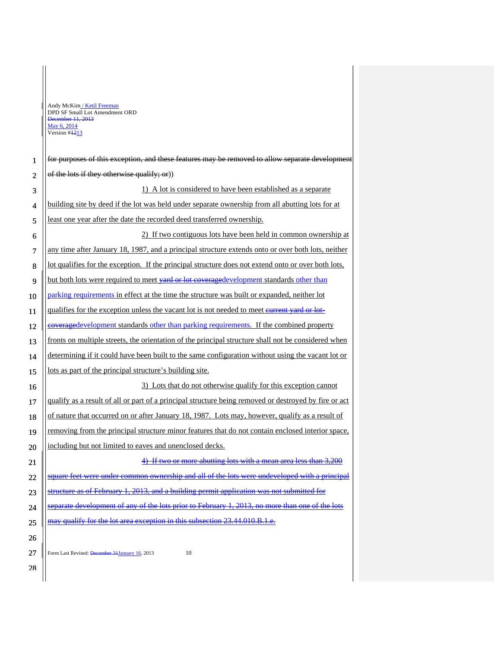Ī

 $\overline{\phantom{a}}$ 

| $\mathbf{1}$   | for purposes of this exception, and these features may be removed to allow separate development       |
|----------------|-------------------------------------------------------------------------------------------------------|
| $\overline{2}$ | of the lots if they otherwise qualify; or)                                                            |
| 3              | 1) A lot is considered to have been established as a separate                                         |
| $\overline{4}$ | building site by deed if the lot was held under separate ownership from all abutting lots for at      |
| 5              | least one year after the date the recorded deed transferred ownership.                                |
| 6              | 2) If two contiguous lots have been held in common ownership at                                       |
| 7              | any time after January 18, 1987, and a principal structure extends onto or over both lots, neither    |
| 8              | lot qualifies for the exception. If the principal structure does not extend onto or over both lots,   |
| 9              | but both lots were required to meet vard or lot coveraged evelopment standards other than             |
| 10             | parking requirements in effect at the time the structure was built or expanded, neither lot           |
| 11             | qualifies for the exception unless the vacant lot is not needed to meet eurrent yard or lot-          |
| 12             | eoveragedevelopment standards other than parking requirements. If the combined property               |
| 13             | fronts on multiple streets, the orientation of the principal structure shall not be considered when   |
| 14             | determining if it could have been built to the same configuration without using the vacant lot or     |
| 15             | lots as part of the principal structure's building site.                                              |
| 16             | 3) Lots that do not otherwise qualify for this exception cannot                                       |
| 17             | qualify as a result of all or part of a principal structure being removed or destroyed by fire or act |
| 18             | of nature that occurred on or after January 18, 1987. Lots may, however, qualify as a result of       |
| 19             | removing from the principal structure minor features that do not contain enclosed interior space,     |
| 20             | including but not limited to eaves and unenclosed decks.                                              |
| 21             | 4) If two or more abutting lots with a mean area less than 3,200                                      |
| 22             | square feet were under common ownership and all of the lots were undeveloped with a principal         |
| 23             | structure as of February 1, 2013, and a building permit application was not submitted for             |
| 24             | separate development of any of the lots prior to February 1, 2013, no more than one of the lots       |
| 25             |                                                                                                       |
| 26             |                                                                                                       |
| 27             | Form Last Revised: December 31 January 16, 2013<br>10                                                 |
| 28             |                                                                                                       |
|                |                                                                                                       |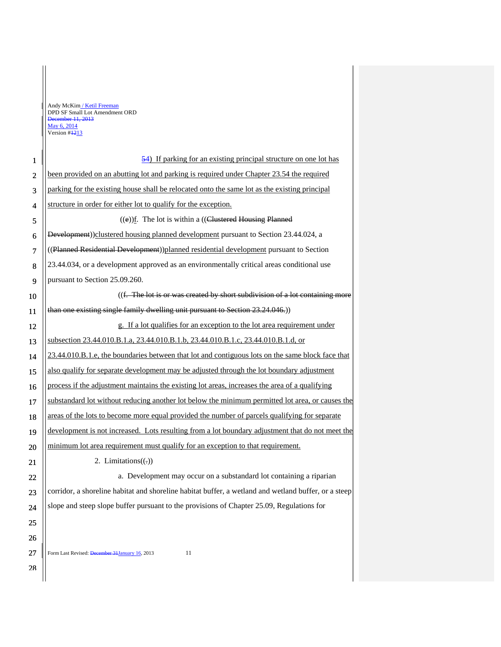Ť

| $\mathbf{1}$            | 54) If parking for an existing principal structure on one lot has                                    |
|-------------------------|------------------------------------------------------------------------------------------------------|
| $\overline{2}$          | been provided on an abutting lot and parking is required under Chapter 23.54 the required            |
| 3                       | parking for the existing house shall be relocated onto the same lot as the existing principal        |
| $\overline{\mathbf{4}}$ | structure in order for either lot to qualify for the exception.                                      |
| 5                       | $((e))$ f. The lot is within a $((E)$ ustered Housing Planned                                        |
| 6                       | Development))clustered housing planned development pursuant to Section 23.44.024, a                  |
| $\overline{7}$          | ((Planned Residential Development))planned residential development pursuant to Section               |
| 8                       | 23.44.034, or a development approved as an environmentally critical areas conditional use            |
| 9                       | pursuant to Section 25.09.260.                                                                       |
| 10                      | ((f. The lot is or was created by short subdivision of a lot containing more                         |
| 11                      | than one existing single family dwelling unit pursuant to Section 23.24.046.))                       |
| 12                      | g. If a lot qualifies for an exception to the lot area requirement under                             |
| 13                      | subsection 23.44.010.B.1.a, 23.44.010.B.1.b, 23.44.010.B.1.c, 23.44.010.B.1.d, or                    |
| 14                      | 23.44.010.B.1.e, the boundaries between that lot and contiguous lots on the same block face that     |
| 15                      | also qualify for separate development may be adjusted through the lot boundary adjustment            |
| 16                      | process if the adjustment maintains the existing lot areas, increases the area of a qualifying       |
| 17                      | substandard lot without reducing another lot below the minimum permitted lot area, or causes the     |
| 18                      | areas of the lots to become more equal provided the number of parcels qualifying for separate        |
| 19                      | development is not increased. Lots resulting from a lot boundary adjustment that do not meet the     |
| 20                      | minimum lot area requirement must qualify for an exception to that requirement.                      |
| 21                      | 2. Limitations $((.)$                                                                                |
| 22                      | a. Development may occur on a substandard lot containing a riparian                                  |
| 23                      | corridor, a shoreline habitat and shoreline habitat buffer, a wetland and wetland buffer, or a steep |
| 24                      | slope and steep slope buffer pursuant to the provisions of Chapter 25.09, Regulations for            |
| 25                      |                                                                                                      |
| 26                      |                                                                                                      |
| 27                      | Form Last Revised: December 31 January 16, 2013<br>11                                                |
| 28                      |                                                                                                      |
|                         |                                                                                                      |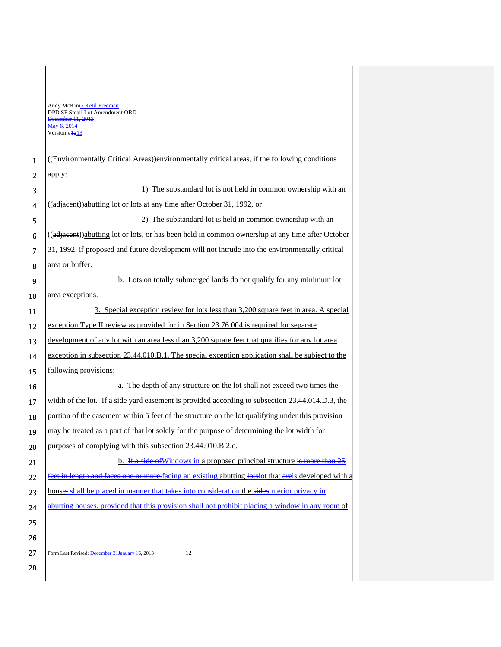|                | Andy McKim / Ketil Freeman<br>DPD SF Small Lot Amendment ORD                                          |
|----------------|-------------------------------------------------------------------------------------------------------|
|                | December 11, 2013<br>May 6, 2014                                                                      |
|                | Version #1213                                                                                         |
|                |                                                                                                       |
| 1              | ((Environmentally Critical Areas)) environmentally critical areas, if the following conditions        |
| $\overline{2}$ | apply:                                                                                                |
| 3              | 1) The substandard lot is not held in common ownership with an                                        |
| 4              | ((adjacent))abutting lot or lots at any time after October 31, 1992, or                               |
| 5              | 2) The substandard lot is held in common ownership with an                                            |
| 6              | ((adjacent))abutting lot or lots, or has been held in common ownership at any time after October      |
| 7              | 31, 1992, if proposed and future development will not intrude into the environmentally critical       |
| 8              | area or buffer.                                                                                       |
| 9              | b. Lots on totally submerged lands do not qualify for any minimum lot                                 |
| 10             | area exceptions.                                                                                      |
| 11             | 3. Special exception review for lots less than 3,200 square feet in area. A special                   |
| 12             | exception Type II review as provided for in Section 23.76.004 is required for separate                |
| 13             | development of any lot with an area less than 3,200 square feet that qualifies for any lot area       |
| 14             | exception in subsection 23.44.010.B.1. The special exception application shall be subject to the      |
| 15             | following provisions:                                                                                 |
| 16             | a. The depth of any structure on the lot shall not exceed two times the                               |
| 17             | width of the lot. If a side yard easement is provided according to subsection 23.44.014.D.3, the      |
| 18             | portion of the easement within 5 feet of the structure on the lot qualifying under this provision     |
| 19             | may be treated as a part of that lot solely for the purpose of determining the lot width for          |
| 20             | purposes of complying with this subsection 23.44.010.B.2.c.                                           |
| 21             | b. If a side of Windows in a proposed principal structure is more than $25$                           |
| 22             | feet in length and faces one or more facing an existing abutting lots of that are is developed with a |
| 23             | house, shall be placed in manner that takes into consideration the sidesinterior privacy in           |
| 24             | abutting houses, provided that this provision shall not prohibit placing a window in any room of      |
| 25             |                                                                                                       |
| 26             |                                                                                                       |
| 27             | Form Last Revised: December 31 January 16, 2013<br>12                                                 |
| 28             |                                                                                                       |
|                |                                                                                                       |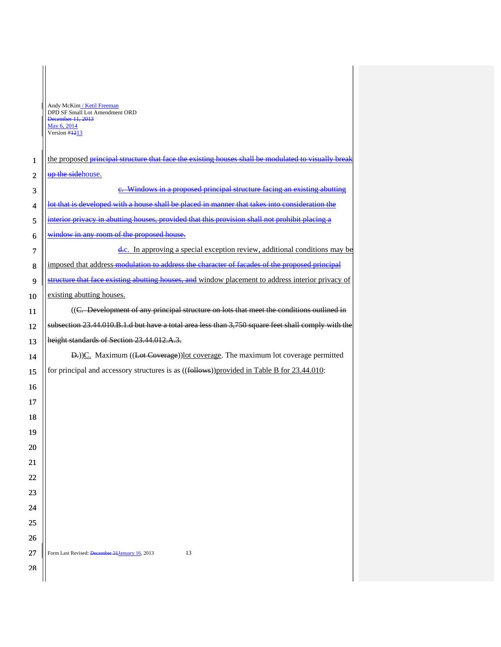П

| $\mathbf{1}$   | the proposed principal structure that face the existing houses shall be modulated to visually break |  |  |
|----------------|-----------------------------------------------------------------------------------------------------|--|--|
| $\overline{2}$ | up the sidehouse.                                                                                   |  |  |
| 3              | e. Windows in a proposed principal structure facing an existing abutting                            |  |  |
| 4              | lot that is developed with a house shall be placed in manner that takes into consideration the      |  |  |
| 5              | interior privacy in abutting houses, provided that this provision shall not prohibit placing a      |  |  |
| 6              | window in any room of the proposed house.                                                           |  |  |
| 7              | e.c. In approving a special exception review, additional conditions may be                          |  |  |
| 8              | imposed that address-modulation to address the character of facades of the proposed principal       |  |  |
| 9              | structure that face existing abutting houses, and window placement to address interior privacy of   |  |  |
| 10             | existing abutting houses.                                                                           |  |  |
| 11             | ((C. Development of any principal structure on lots that meet the conditions outlined in            |  |  |
| 12             | subsection 23.44.010.B.1.d but have a total area less than 3,750 square feet shall comply with the  |  |  |
| 13             | height standards of Section 23.44.012.A.3.                                                          |  |  |
| 14             | D.) C. Maximum ((Lot Coverage)) lot coverage. The maximum lot coverage permitted                    |  |  |
| 15             | for principal and accessory structures is as ((follows))provided in Table B for 23.44.010:          |  |  |
| 16             |                                                                                                     |  |  |
| 17             |                                                                                                     |  |  |
| 18             |                                                                                                     |  |  |
| 19             |                                                                                                     |  |  |
| 20             |                                                                                                     |  |  |
| 21             |                                                                                                     |  |  |
| 22             |                                                                                                     |  |  |
| 23             |                                                                                                     |  |  |
| 24             |                                                                                                     |  |  |
| 25             |                                                                                                     |  |  |
| 26             |                                                                                                     |  |  |
| 27             | Form Last Revised: December 31 January 16, 2013<br>13                                               |  |  |
| 28             |                                                                                                     |  |  |
|                |                                                                                                     |  |  |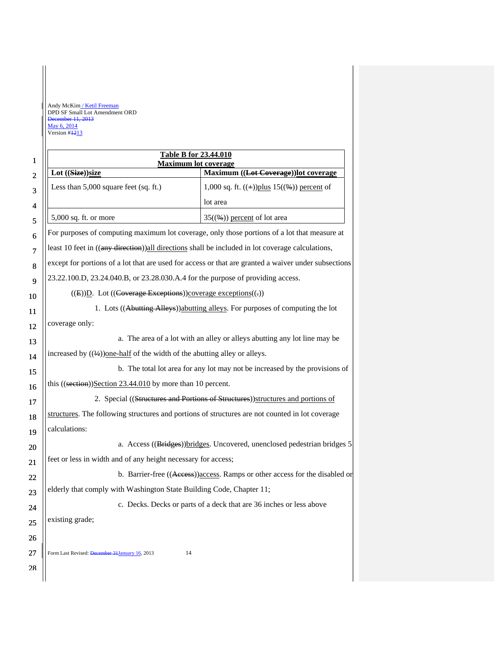П

| $\mathbf{1}$   | <b>Table B for 23.44.010</b>                                                                         |                                                                              |  |  |
|----------------|------------------------------------------------------------------------------------------------------|------------------------------------------------------------------------------|--|--|
|                | <b>Maximum lot coverage</b><br>Lot ((Size))size                                                      | Maximum ((Lot Coverage))lot coverage                                         |  |  |
| $\overline{2}$ | Less than 5,000 square feet (sq. ft.)                                                                | 1,000 sq. ft. $((+))$ plus 15 $((\%)$ ) percent of                           |  |  |
| 3              |                                                                                                      | lot area                                                                     |  |  |
| 4              |                                                                                                      |                                                                              |  |  |
| 5              | 5,000 sq. ft. or more                                                                                | $35(\frac{6}{6})$ percent of lot area                                        |  |  |
| 6              | For purposes of computing maximum lot coverage, only those portions of a lot that measure at         |                                                                              |  |  |
| $\overline{7}$ | least 10 feet in ((any direction)) all directions shall be included in lot coverage calculations,    |                                                                              |  |  |
| 8              | except for portions of a lot that are used for access or that are granted a waiver under subsections |                                                                              |  |  |
| 9              | 23.22.100.D, 23.24.040.B, or 23.28.030.A.4 for the purpose of providing access.                      |                                                                              |  |  |
| 10             | ((E)) <sup>D</sup> . Lot ((Coverage Exceptions))coverage exceptions((-))                             |                                                                              |  |  |
| 11             | 1. Lots ((Abutting Alleys)) abutting alleys. For purposes of computing the lot                       |                                                                              |  |  |
| 12             | coverage only:                                                                                       |                                                                              |  |  |
| 13             | a. The area of a lot with an alley or alleys abutting any lot line may be                            |                                                                              |  |  |
| 14             | increased by $((\frac{1}{2}))$ one-half of the width of the abutting alley or alleys.                |                                                                              |  |  |
| 15             | b. The total lot area for any lot may not be increased by the provisions of                          |                                                                              |  |  |
| 16             | this $((section))\cdot Section 23.44.010$ by more than 10 percent.                                   |                                                                              |  |  |
| 17             | 2. Special ((Structures and Portions of Structures)) structures and portions of                      |                                                                              |  |  |
| 18             | structures. The following structures and portions of structures are not counted in lot coverage      |                                                                              |  |  |
| 19             | calculations:                                                                                        |                                                                              |  |  |
| 20             | a. Access ((Bridges)) bridges. Uncovered, unenclosed pedestrian bridges 5                            |                                                                              |  |  |
| 21             | feet or less in width and of any height necessary for access;                                        |                                                                              |  |  |
| 22             |                                                                                                      | b. Barrier-free ((Access)) access. Ramps or other access for the disabled or |  |  |
| 23             | elderly that comply with Washington State Building Code, Chapter 11;                                 |                                                                              |  |  |
| 24             | c. Decks. Decks or parts of a deck that are 36 inches or less above                                  |                                                                              |  |  |
| 25             | existing grade;                                                                                      |                                                                              |  |  |
| 26             |                                                                                                      |                                                                              |  |  |
| 27             | Form Last Revised: December 31 January 16, 2013<br>14                                                |                                                                              |  |  |
| 28             |                                                                                                      |                                                                              |  |  |
|                |                                                                                                      |                                                                              |  |  |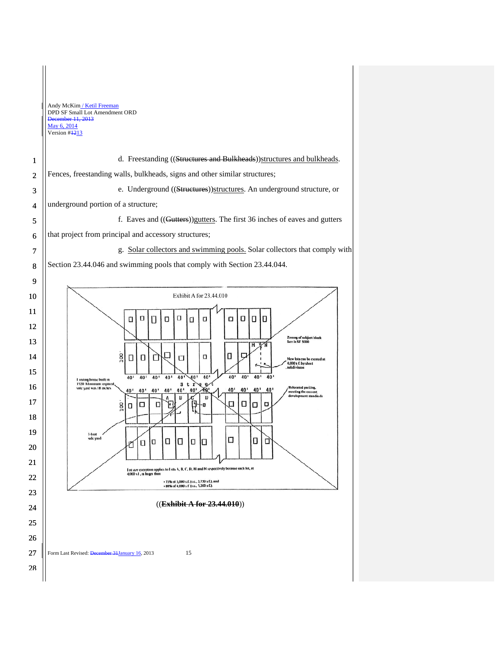|                | Andy McKim / Ketil Freeman<br>DPD SF Small Lot Amendment ORD<br>December 11, 2013<br>May 6, 2014<br>Version #1213                                                                                                                     |  |  |
|----------------|---------------------------------------------------------------------------------------------------------------------------------------------------------------------------------------------------------------------------------------|--|--|
| 1              | d. Freestanding ((Structures and Bulkheads)) structures and bulkheads.                                                                                                                                                                |  |  |
| $\overline{2}$ | Fences, freestanding walls, bulkheads, signs and other similar structures;                                                                                                                                                            |  |  |
| 3              | e. Underground ((Structures))structures. An underground structure, or                                                                                                                                                                 |  |  |
| $\overline{4}$ | underground portion of a structure;                                                                                                                                                                                                   |  |  |
| 5              | f. Eaves and ((Gutters)) gutters. The first 36 inches of eaves and gutters                                                                                                                                                            |  |  |
| 6              | that project from principal and accessory structures;                                                                                                                                                                                 |  |  |
| 7              | g. Solar collectors and swimming pools. Solar collectors that comply with                                                                                                                                                             |  |  |
| 8              | Section 23.44.046 and swimming pools that comply with Section 23.44.044.                                                                                                                                                              |  |  |
| 9              |                                                                                                                                                                                                                                       |  |  |
| 10             | Exhibit A for 23.44.010                                                                                                                                                                                                               |  |  |
| 11             | O<br>O<br>Ο<br>O<br>O<br>П<br>о<br>П<br>Ü<br>α                                                                                                                                                                                        |  |  |
| 12             |                                                                                                                                                                                                                                       |  |  |
| 13             | Zoning of subject block<br>face is SF 5000<br>$\overline{M}$                                                                                                                                                                          |  |  |
| 14             | 100<br>Ο<br>O<br>O<br>П<br>U<br>New lots can be created at<br>4,000 s f. by short<br>subdivision                                                                                                                                      |  |  |
| 15             | 40'<br>40'<br>40'<br>40'<br>40'<br>40<br>40'<br>40'<br>40'<br>40'<br>40'<br>I xisting house built in                                                                                                                                  |  |  |
| 16             | 1920 Minimum required,<br>s<br>t<br>Relocated parking,<br>side yard was 18 mehes<br>40 <sup>1</sup><br>40,<br>40'<br>40'<br>40 <sup>1</sup><br>40'<br>40'<br>40'<br>40'<br>40'<br>40'<br>meeting the current<br>development standards |  |  |
| 17             | Ο<br>◻<br>Ω<br>о<br>8<br>о<br>U<br>-0<br>п                                                                                                                                                                                            |  |  |
| 18             |                                                                                                                                                                                                                                       |  |  |
| 19             | 1-1001<br>side yard<br>u<br>О<br>0<br>u<br>0<br>O<br>□<br>O                                                                                                                                                                           |  |  |
| 20             |                                                                                                                                                                                                                                       |  |  |
| 21             | I of size exception applies to I ots A, B, C, D, M and N respectively because each lot, at<br>$4,000 \times 1$ , is larger than                                                                                                       |  |  |
| 22             | - 75% of 5,000 s.f. (i.e., 3,750 s f.), and<br>-80% of 4,000 s f (i.e., 3,200 s f.).                                                                                                                                                  |  |  |
| 23             | ((Exhibit A for 23.44.010))                                                                                                                                                                                                           |  |  |
| 24             |                                                                                                                                                                                                                                       |  |  |
| 25             |                                                                                                                                                                                                                                       |  |  |
| 26             |                                                                                                                                                                                                                                       |  |  |
| 27             | Form Last Revised: December 31 January 16, 2013<br>15                                                                                                                                                                                 |  |  |
| 28             |                                                                                                                                                                                                                                       |  |  |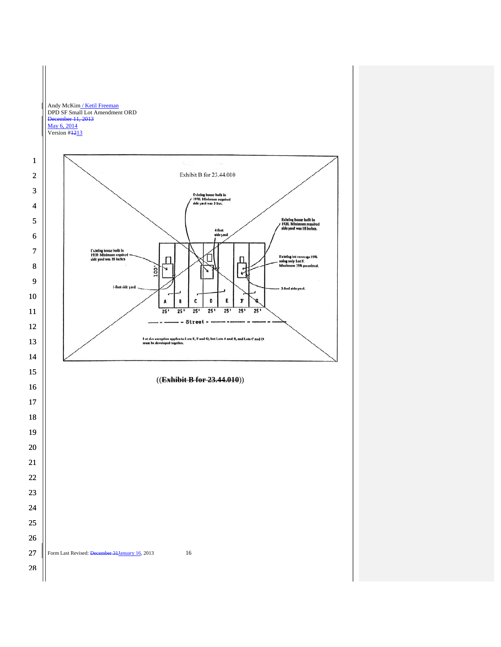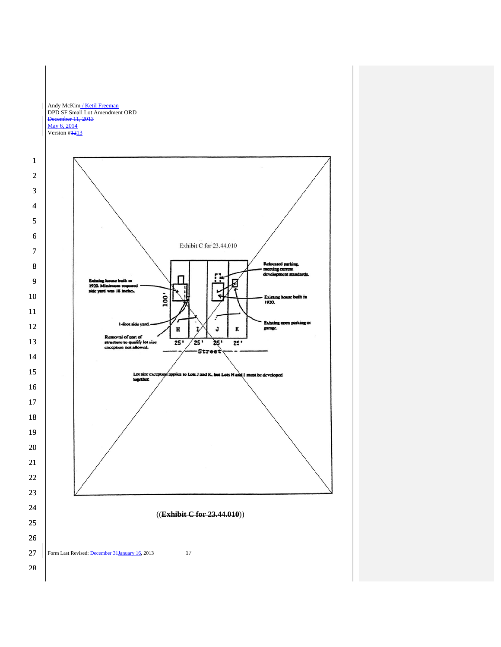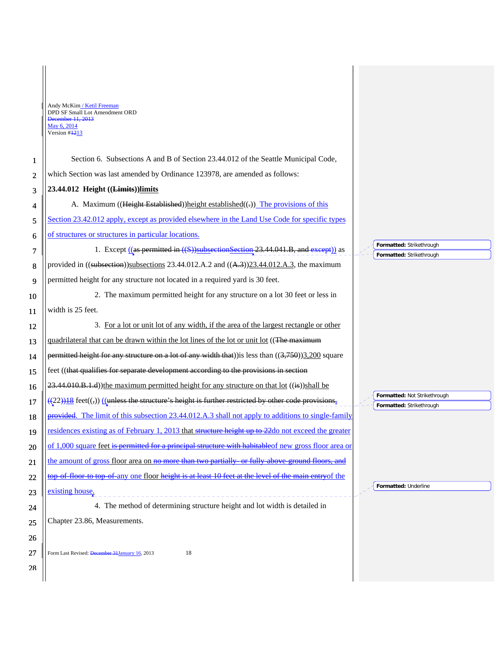L

| 1              | Section 6. Subsections A and B of Section 23.44.012 of the Seattle Municipal Code,                                |                                                          |
|----------------|-------------------------------------------------------------------------------------------------------------------|----------------------------------------------------------|
| $\mathfrak{2}$ | which Section was last amended by Ordinance 123978, are amended as follows:                                       |                                                          |
| 3              | 23.44.012 Height ((Limits))limits                                                                                 |                                                          |
| 4              | A. Maximum ((Height Established)) height established((.)) The provisions of this                                  |                                                          |
| 5              | Section 23.42.012 apply, except as provided elsewhere in the Land Use Code for specific types                     |                                                          |
| 6              | of structures or structures in particular locations.                                                              |                                                          |
| 7              | 1. Except ((as permitted in ((S))subsectionSection 23.44.041.B, and except)) as                                   | Formatted: Strikethrough<br>Formatted: Strikethrough     |
| 8              | provided in $((\text{subsection}))$ subsections 23.44.012.A.2 and $((\text{A-3}))$ 23.44.012.A.3, the maximum     |                                                          |
| 9              | permitted height for any structure not located in a required yard is 30 feet.                                     |                                                          |
| 10             | 2. The maximum permitted height for any structure on a lot 30 feet or less in                                     |                                                          |
| 11             | width is 25 feet.                                                                                                 |                                                          |
| 12             | 3. For a lot or unit lot of any width, if the area of the largest rectangle or other                              |                                                          |
| 13             | quadrilateral that can be drawn within the lot lines of the lot or unit lot ((The maximum                         |                                                          |
| 14             | permitted height for any structure on a lot of any width that)) is less than $((3,750))3,200$ square              |                                                          |
|                |                                                                                                                   |                                                          |
| 15             | feet ((that qualifies for separate development according to the provisions in section                             |                                                          |
| 16             | $23.44.010.B.1.d)$ ) the maximum permitted height for any structure on that lot $((i\pi))$ shall be               |                                                          |
| 17             | $((22)$ ) <sup>18</sup> feet((,)) ((unless the structure's height is further restricted by other code provisions, | Formatted: Not Strikethrough<br>Formatted: Strikethrough |
| 18             | provided. The limit of this subsection 23.44.012.A.3 shall not apply to additions to single-family                |                                                          |
| 19             | residences existing as of February 1, 2013 that structure height up to 22 do not exceed the greater               |                                                          |
| 20             | of 1,000 square feet is permitted for a principal structure with habitable of new gross floor area or             |                                                          |
| 21             | the amount of gross floor area on no more than two partially or fully above ground floors, and                    |                                                          |
| 22             | top of floor to top of any one floor height is at least 10 feet at the level of the main entry of the             |                                                          |
| 23             | existing house.                                                                                                   | Formatted: Underline                                     |
| 24             | 4. The method of determining structure height and lot width is detailed in                                        |                                                          |
| 25             | Chapter 23.86, Measurements.                                                                                      |                                                          |
| 26             |                                                                                                                   |                                                          |
| 27             | Form Last Revised: December 31 January 16, 2013<br>18                                                             |                                                          |
| 28             |                                                                                                                   |                                                          |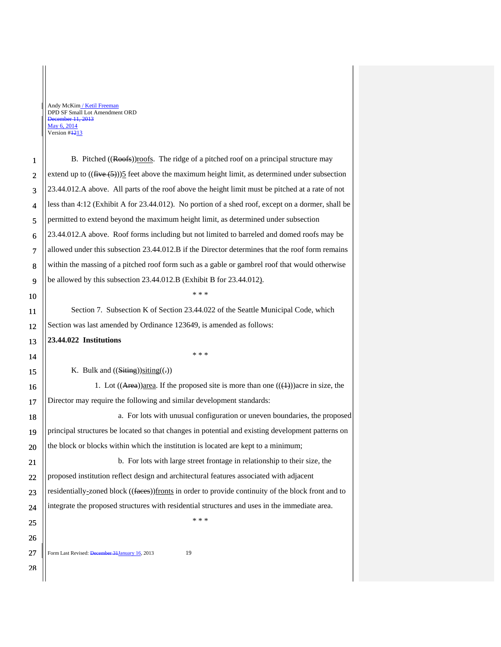Form Last Revised: December 31 January 16, 2013 19 1 2 3 4 5 6 7 8 9 10 11 12 13 14 15 16 17 18 19 20 21 22 23 24 25 26 27 28 B. Pitched ((Roofs))roofs. The ridge of a pitched roof on a principal structure may extend up to  $((\text{five}(5)))$  feet above the maximum height limit, as determined under subsection 23.44.012.A above. All parts of the roof above the height limit must be pitched at a rate of not less than 4:12 (Exhibit A for 23.44.012). No portion of a shed roof, except on a dormer, shall be permitted to extend beyond the maximum height limit, as determined under subsection 23.44.012.A above. Roof forms including but not limited to barreled and domed roofs may be allowed under this subsection 23.44.012.B if the Director determines that the roof form remains within the massing of a pitched roof form such as a gable or gambrel roof that would otherwise be allowed by this subsection 23.44.012.B (Exhibit B for 23.44.012). \* \* \* Section 7. Subsection K of Section 23.44.022 of the Seattle Municipal Code, which Section was last amended by Ordinance 123649, is amended as follows: **23.44.022 Institutions**  \* \* \* K. Bulk and  $((\text{Stting}))$ siting $((.)$ 1. Lot  $((Area))$ area. If the proposed site is more than one  $((4))$ acre in size, the Director may require the following and similar development standards: a. For lots with unusual configuration or uneven boundaries, the proposed principal structures be located so that changes in potential and existing development patterns on the block or blocks within which the institution is located are kept to a minimum; b. For lots with large street frontage in relationship to their size, the proposed institution reflect design and architectural features associated with adjacent residentially-zoned block ((faces))fronts in order to provide continuity of the block front and to integrate the proposed structures with residential structures and uses in the immediate area. \* \* \*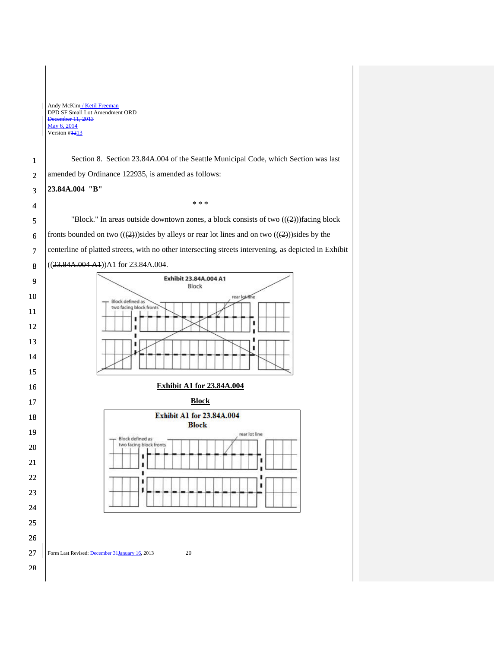Andy McKim / Ketil Freeman DPD SF Small Lot Amendment ORD December 11, 2013 May 6, 2014 Version  $#1213$ Section 8. Section 23.84A.004 of the Seattle Municipal Code, which Section was last 1 amended by Ordinance 122935, is amended as follows: 2 **23.84A.004 "B"**  3 \* \* \* 4 "Block." In areas outside downtown zones, a block consists of two  $((2))$  facing block 5 fronts bounded on two  $((2))$ sides by alleys or rear lot lines and on two  $((2))$ sides by the 6 7 centerline of platted streets, with no other intersecting streets intervening, as depicted in Exhibit ((23.84A.004 A1))A1 for 23.84A.004. 8 Exhibit 23.84A.004 A1 9 Block 10 rear lot-line Block defined as<br>two facing block fronts 11 I, ī 12  $\blacksquare$ ī 13 ٠ ٠ 14 15 **Exhibit A1 for 23.84A.004**  16 **Block** 17 **Exhibit A1 for 23.84A.004** 18 **Block** 19 rear lot line Block defined as two facing block fronts 20 п 21 ı  $\blacksquare$ ı 22 ı  $\blacksquare$ ī 23 24 25 26 27 Form Last Revised: December 31 January 16, 2013 20 28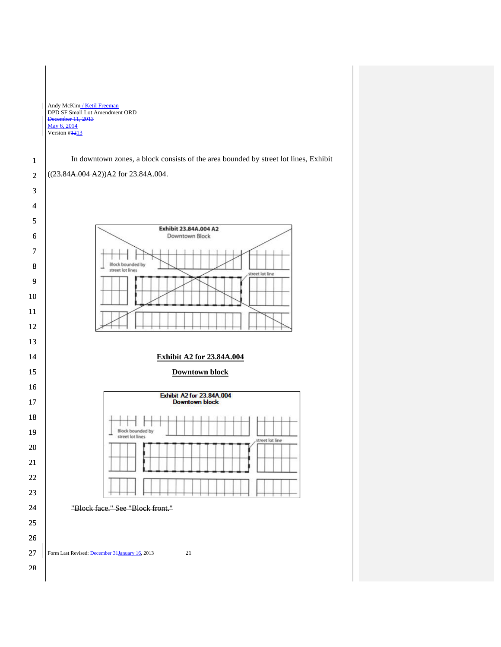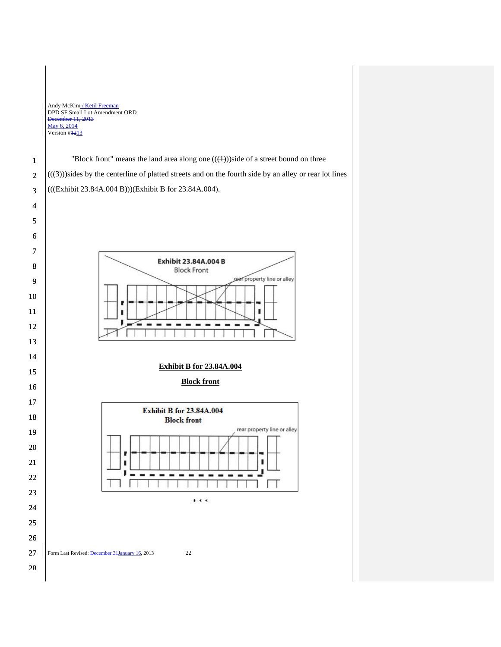"Block front" means the land area along one  $((\text{(+)}))$ side of a street bound on three  $((3))$ sides by the centerline of platted streets and on the fourth side by an alley or rear lot lines (((Exhibit 23.84A.004 B)))(Exhibit B for 23.84A.004).



# **Exhibit B for 23.84A.004**

**Block front** 

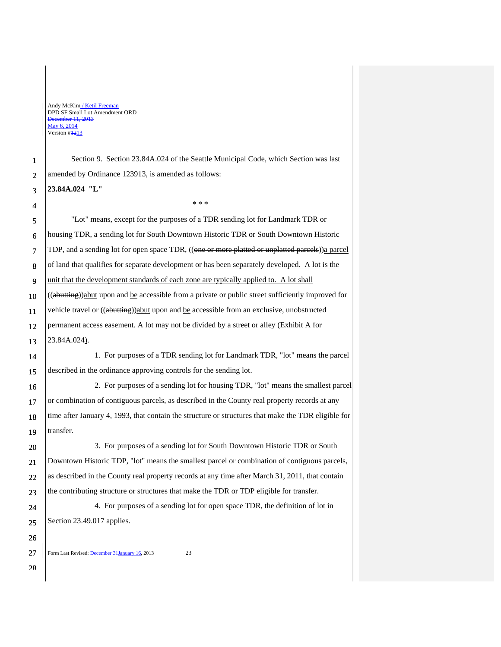Section 9. Section 23.84A.024 of the Seattle Municipal Code, which Section was last amended by Ordinance 123913, is amended as follows:

\* \* \*

**23.84A.024 "L"** 

4 5

11

1 2 3

6 7 8 9 10 12 13 "Lot" means, except for the purposes of a TDR sending lot for Landmark TDR or housing TDR, a sending lot for South Downtown Historic TDR or South Downtown Historic TDP, and a sending lot for open space TDR, ((one or more platted or unplatted parcels))a parcel of land that qualifies for separate development or has been separately developed. A lot is the unit that the development standards of each zone are typically applied to. A lot shall ((abutting))abut upon and be accessible from a private or public street sufficiently improved for vehicle travel or ((abutting))abut upon and be accessible from an exclusive, unobstructed permanent access easement. A lot may not be divided by a street or alley (Exhibit A for 23.84A.024).

14 15 1. For purposes of a TDR sending lot for Landmark TDR, "lot" means the parcel described in the ordinance approving controls for the sending lot.

16 17 18 19 2. For purposes of a sending lot for housing TDR, "lot" means the smallest parcel or combination of contiguous parcels, as described in the County real property records at any time after January 4, 1993, that contain the structure or structures that make the TDR eligible for transfer.

3. For purposes of a sending lot for South Downtown Historic TDR or South Downtown Historic TDP, "lot" means the smallest parcel or combination of contiguous parcels, as described in the County real property records at any time after March 31, 2011, that contain the contributing structure or structures that make the TDR or TDP eligible for transfer.

4. For purposes of a sending lot for open space TDR, the definition of lot in Section 23.49.017 applies.

Form Last Revised: December 31 January 16, 2013 23

27 28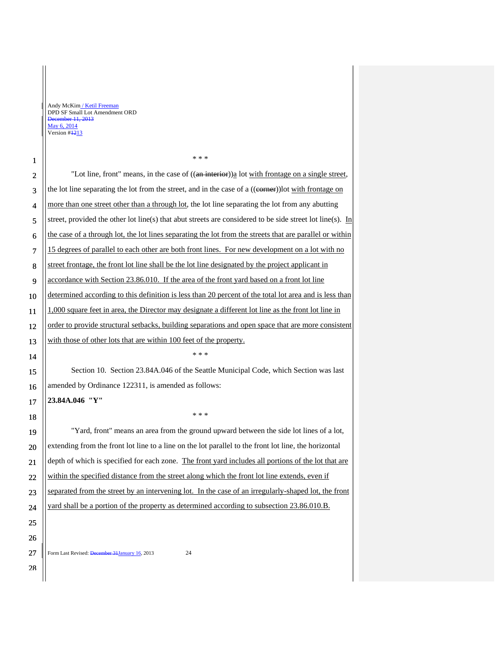$\mathbf{I}$ 

| 1  | * * *                                                                                                             |  |  |
|----|-------------------------------------------------------------------------------------------------------------------|--|--|
| 2  | "Lot line, front" means, in the case of ((an interior)) all ot with frontage on a single street,                  |  |  |
| 3  | the lot line separating the lot from the street, and in the case of a ((e <del>orner</del> ))lot with frontage on |  |  |
| 4  | more than one street other than a through lot, the lot line separating the lot from any abutting                  |  |  |
| 5  | street, provided the other lot line(s) that abut streets are considered to be side street lot line(s). In         |  |  |
| 6  | the case of a through lot, the lot lines separating the lot from the streets that are parallel or within          |  |  |
| 7  | 15 degrees of parallel to each other are both front lines. For new development on a lot with no                   |  |  |
| 8  | street frontage, the front lot line shall be the lot line designated by the project applicant in                  |  |  |
| 9  | accordance with Section 23.86.010. If the area of the front yard based on a front lot line                        |  |  |
| 10 | determined according to this definition is less than 20 percent of the total lot area and is less than            |  |  |
| 11 | 1,000 square feet in area, the Director may designate a different lot line as the front lot line in               |  |  |
| 12 | order to provide structural setbacks, building separations and open space that are more consistent                |  |  |
| 13 | with those of other lots that are within 100 feet of the property.                                                |  |  |
|    | * * *                                                                                                             |  |  |
| 14 |                                                                                                                   |  |  |
| 15 | Section 10. Section 23.84A.046 of the Seattle Municipal Code, which Section was last                              |  |  |
| 16 | amended by Ordinance 122311, is amended as follows:                                                               |  |  |
| 17 | 23.84A.046 "Y"                                                                                                    |  |  |
| 18 | * * *                                                                                                             |  |  |
| 19 | "Yard, front" means an area from the ground upward between the side lot lines of a lot,                           |  |  |
| 20 | extending from the front lot line to a line on the lot parallel to the front lot line, the horizontal             |  |  |
| 21 | depth of which is specified for each zone. The front yard includes all portions of the lot that are               |  |  |
| 22 | within the specified distance from the street along which the front lot line extends, even if                     |  |  |
| 23 | separated from the street by an intervening lot. In the case of an irregularly-shaped lot, the front              |  |  |
| 24 | yard shall be a portion of the property as determined according to subsection 23.86.010.B.                        |  |  |
| 25 |                                                                                                                   |  |  |

\* \* \*

Form Last Revised: December 31January 16, 2013 24 27

28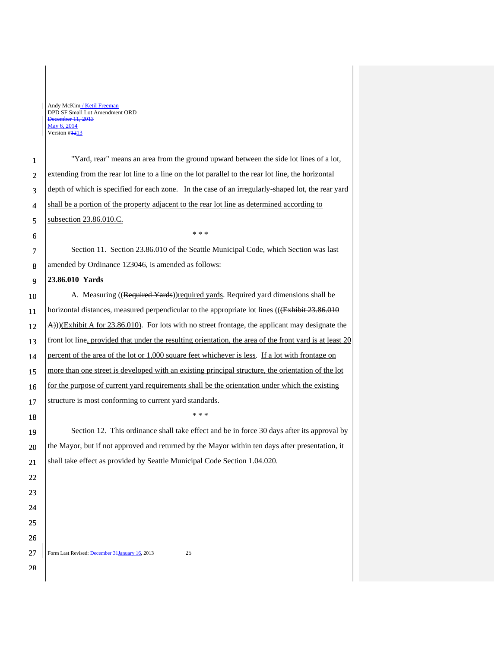"Yard, rear" means an area from the ground upward between the side lot lines of a lot, extending from the rear lot line to a line on the lot parallel to the rear lot line, the horizontal depth of which is specified for each zone. In the case of an irregularly-shaped lot, the rear yard shall be a portion of the property adjacent to the rear lot line as determined according to subsection 23.86.010.C.

6 7

8

28

> Section 11. Section 23.86.010 of the Seattle Municipal Code, which Section was last amended by Ordinance 123046, is amended as follows:

\* \* \*

#### 9 **23.86.010 Yards**

10 11 12 13 14 15 16 17 A. Measuring ((Required Yards)) required yards. Required yard dimensions shall be horizontal distances, measured perpendicular to the appropriate lot lines (((Exhibit 23.86.010) A)))(Exhibit A for 23.86.010). For lots with no street frontage, the applicant may designate the front lot line, provided that under the resulting orientation, the area of the front yard is at least 20 percent of the area of the lot or 1,000 square feet whichever is less. If a lot with frontage on more than one street is developed with an existing principal structure, the orientation of the lot for the purpose of current yard requirements shall be the orientation under which the existing structure is most conforming to current yard standards.

Section 12. This ordinance shall take effect and be in force 30 days after its approval by the Mayor, but if not approved and returned by the Mayor within ten days after presentation, it shall take effect as provided by Seattle Municipal Code Section 1.04.020.

\* \* \*

Form Last Revised: December 31 January 16, 2013 25 27